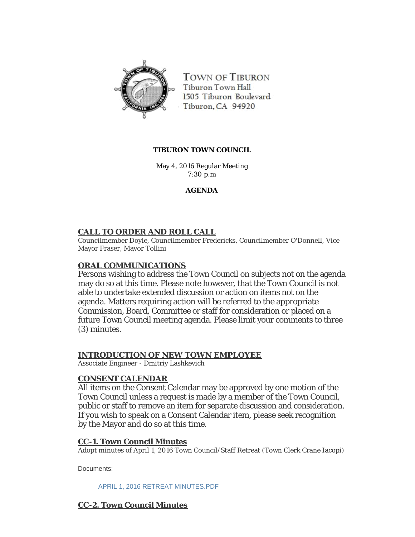

TOWN OF TIBURON Tiburon Town Hall 1505 Tiburon Boulevard Tiburon, CA 94920

### **TIBURON TOWN COUNCIL**

May 4, 2016 Regular Meeting 7:30 p.m

## **AGENDA**

## **CALL TO ORDER AND ROLL CALL**

Councilmember Doyle, Councilmember Fredericks, Councilmember O'Donnell, Vice Mayor Fraser, Mayor Tollini

## **ORAL COMMUNICATIONS**

Persons wishing to address the Town Council on subjects not on the agenda may do so at this time. Please note however, that the Town Council is not able to undertake extended discussion or action on items not on the agenda. Matters requiring action will be referred to the appropriate Commission, Board, Committee or staff for consideration or placed on a future Town Council meeting agenda. Please limit your comments to three (3) minutes.

## **INTRODUCTION OF NEW TOWN EMPLOYEE**

Associate Engineer - Dmitriy Lashkevich

### **CONSENT CALENDAR**

All items on the Consent Calendar may be approved by one motion of the Town Council unless a request is made by a member of the Town Council, public or staff to remove an item for separate discussion and consideration. If you wish to speak on a Consent Calendar item, please seek recognition by the Mayor and do so at this time.

## **CC-1. Town Council Minutes**

Adopt minutes of April 1, 2016 Town Council/Staff Retreat (Town Clerk Crane Iacopi)

Documents:

[APRIL 1, 2016 RETREAT MINUTES.PDF](http://ca-tiburon.civicplus.com/AgendaCenter/ViewFile/Item/1975?fileID=1136)

## **CC-2. Town Council Minutes**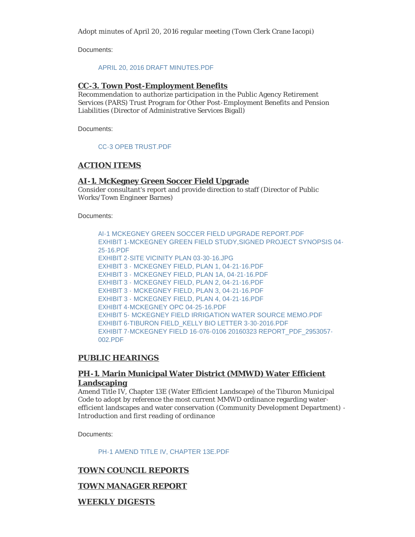Adopt minutes of April 20, 2016 regular meeting (Town Clerk Crane Iacopi)

Documents:

#### [APRIL 20, 2016 DRAFT MINUTES.PDF](http://ca-tiburon.civicplus.com/AgendaCenter/ViewFile/Item/1976?fileID=1137)

#### **CC-3. Town Post-Employment Benefits**

Recommendation to authorize participation in the Public Agency Retirement Services (PARS) Trust Program for Other Post-Employment Benefits and Pension Liabilities (Director of Administrative Services Bigall)

Documents:

#### [CC-3 OPEB TRUST.PDF](http://ca-tiburon.civicplus.com/AgendaCenter/ViewFile/Item/1977?fileID=1138)

### **ACTION ITEMS**

#### **AI-1. McKegney Green Soccer Field Upgrade**

Consider consultant's report and provide direction to staff (Director of Public Works/Town Engineer Barnes)

Documents:

[AI-1 MCKEGNEY GREEN SOCCER FIELD UPGRADE REPORT.PDF](http://ca-tiburon.civicplus.com/AgendaCenter/ViewFile/Item/1978?fileID=1139) [EXHIBIT 1-MCKEGNEY GREEN FIELD STUDY,SIGNED PROJECT SYNOPSIS 04-](http://ca-tiburon.civicplus.com/AgendaCenter/ViewFile/Item/1978?fileID=1140) 25-16.PDF [EXHIBIT 2-SITE VICINITY PLAN 03-30-16.JPG](http://ca-tiburon.civicplus.com/AgendaCenter/ViewFile/Item/1978?fileID=1141) [EXHIBIT 3 - MCKEGNEY FIELD, PLAN 1, 04-21-16.PDF](http://ca-tiburon.civicplus.com/AgendaCenter/ViewFile/Item/1978?fileID=1146) [EXHIBIT 3 - MCKEGNEY FIELD, PLAN 1A, 04-21-16.PDF](http://ca-tiburon.civicplus.com/AgendaCenter/ViewFile/Item/1978?fileID=1147) [EXHIBIT 3 - MCKEGNEY FIELD, PLAN 2, 04-21-16.PDF](http://ca-tiburon.civicplus.com/AgendaCenter/ViewFile/Item/1978?fileID=1148) [EXHIBIT 3 - MCKEGNEY FIELD, PLAN 3, 04-21-16.PDF](http://ca-tiburon.civicplus.com/AgendaCenter/ViewFile/Item/1978?fileID=1149) [EXHIBIT 3 - MCKEGNEY FIELD, PLAN 4, 04-21-16.PDF](http://ca-tiburon.civicplus.com/AgendaCenter/ViewFile/Item/1978?fileID=1150) [EXHIBIT 4-MCKEGNEY OPC 04-25-16.PDF](http://ca-tiburon.civicplus.com/AgendaCenter/ViewFile/Item/1978?fileID=1142) [EXHIBIT 5- MCKEGNEY FIELD IRRIGATION WATER SOURCE MEMO.PDF](http://ca-tiburon.civicplus.com/AgendaCenter/ViewFile/Item/1978?fileID=1143) [EXHIBIT 6-TIBURON FIELD\\_KELLY BIO LETTER 3-30-2016.PDF](http://ca-tiburon.civicplus.com/AgendaCenter/ViewFile/Item/1978?fileID=1144) [EXHIBIT 7-MCKEGNEY FIELD 16-076-0106 20160323 REPORT\\_PDF\\_2953057-](http://ca-tiburon.civicplus.com/AgendaCenter/ViewFile/Item/1978?fileID=1145) 002.PDF

### **PUBLIC HEARINGS**

### **PH-1. Marin Municipal Water District (MMWD) Water Efficient Landscaping**

Amend Title IV, Chapter 13E (Water Efficient Landscape) of the Tiburon Municipal Code to adopt by reference the most current MMWD ordinance regarding water efficient landscapes and water conservation (Community Development Department) - *Introduction and first reading of ordinance*

Documents:

[PH-1 AMEND TITLE IV, CHAPTER 13E.PDF](http://ca-tiburon.civicplus.com/AgendaCenter/ViewFile/Item/1979?fileID=1151)

## **TOWN COUNCIL REPORTS**

### **TOWN MANAGER REPORT**

**WEEKLY DIGESTS**